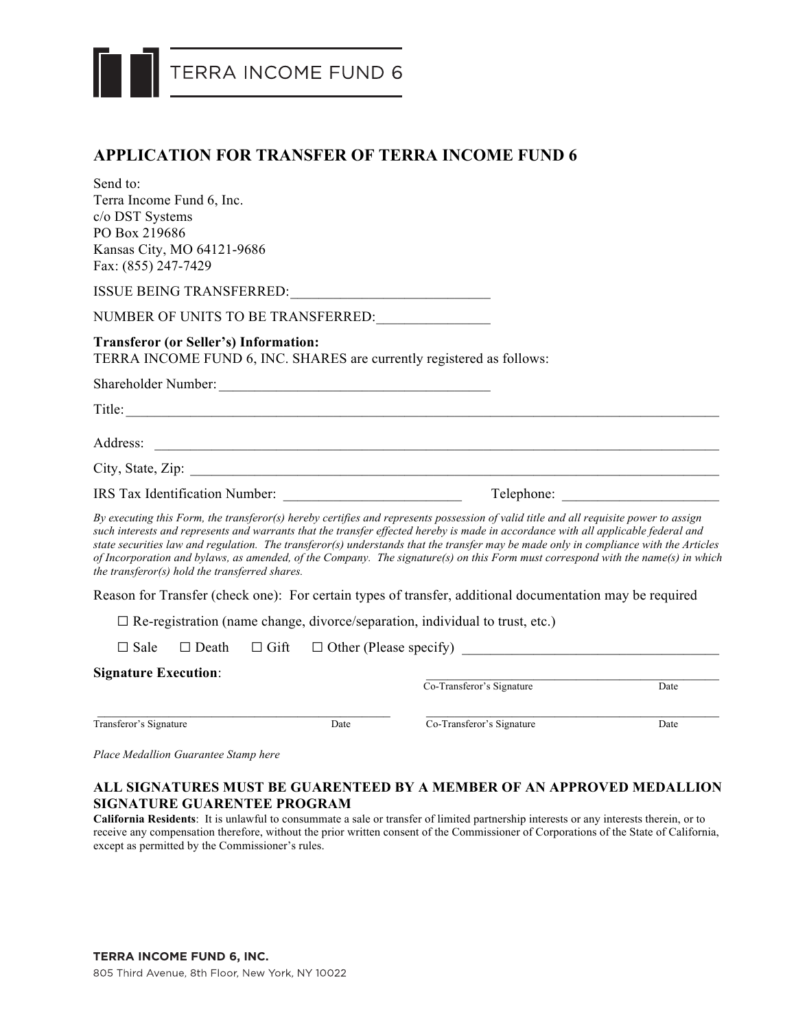

## **APPLICATION FOR TRANSFER OF TERRA INCOME FUND 6**

| Send to:                                                                                                              |      |                                                                                                                                                                                                                                                                                                                                                                                                                                                                                                                                                          |      |
|-----------------------------------------------------------------------------------------------------------------------|------|----------------------------------------------------------------------------------------------------------------------------------------------------------------------------------------------------------------------------------------------------------------------------------------------------------------------------------------------------------------------------------------------------------------------------------------------------------------------------------------------------------------------------------------------------------|------|
| Terra Income Fund 6, Inc.                                                                                             |      |                                                                                                                                                                                                                                                                                                                                                                                                                                                                                                                                                          |      |
| c/o DST Systems                                                                                                       |      |                                                                                                                                                                                                                                                                                                                                                                                                                                                                                                                                                          |      |
| PO Box 219686                                                                                                         |      |                                                                                                                                                                                                                                                                                                                                                                                                                                                                                                                                                          |      |
| Kansas City, MO 64121-9686<br>Fax: (855) 247-7429                                                                     |      |                                                                                                                                                                                                                                                                                                                                                                                                                                                                                                                                                          |      |
|                                                                                                                       |      |                                                                                                                                                                                                                                                                                                                                                                                                                                                                                                                                                          |      |
| NUMBER OF UNITS TO BE TRANSFERRED: _______________                                                                    |      |                                                                                                                                                                                                                                                                                                                                                                                                                                                                                                                                                          |      |
| <b>Transferor (or Seller's) Information:</b><br>TERRA INCOME FUND 6, INC. SHARES are currently registered as follows: |      |                                                                                                                                                                                                                                                                                                                                                                                                                                                                                                                                                          |      |
|                                                                                                                       |      |                                                                                                                                                                                                                                                                                                                                                                                                                                                                                                                                                          |      |
| Title:                                                                                                                |      |                                                                                                                                                                                                                                                                                                                                                                                                                                                                                                                                                          |      |
|                                                                                                                       |      | Address: <u>The Community of the Community of the Community of the Community of the Community of the Community of the Community of the Community of the Community of the Community of the Community of the Community of the Comm</u>                                                                                                                                                                                                                                                                                                                     |      |
|                                                                                                                       |      |                                                                                                                                                                                                                                                                                                                                                                                                                                                                                                                                                          |      |
|                                                                                                                       |      |                                                                                                                                                                                                                                                                                                                                                                                                                                                                                                                                                          |      |
| the transferor(s) hold the transferred shares.                                                                        |      | By executing this Form, the transferor(s) hereby certifies and represents possession of valid title and all requisite power to assign<br>such interests and represents and warrants that the transfer effected hereby is made in accordance with all applicable federal and<br>state securities law and regulation. The transferor(s) understands that the transfer may be made only in compliance with the Articles<br>of Incorporation and bylaws, as amended, of the Company. The signature(s) on this Form must correspond with the name(s) in which |      |
|                                                                                                                       |      | Reason for Transfer (check one): For certain types of transfer, additional documentation may be required                                                                                                                                                                                                                                                                                                                                                                                                                                                 |      |
|                                                                                                                       |      | $\Box$ Re-registration (name change, divorce/separation, individual to trust, etc.)                                                                                                                                                                                                                                                                                                                                                                                                                                                                      |      |
| $\Box$ Sale<br>$\Box$ Death                                                                                           |      |                                                                                                                                                                                                                                                                                                                                                                                                                                                                                                                                                          |      |
| <b>Signature Execution:</b>                                                                                           |      |                                                                                                                                                                                                                                                                                                                                                                                                                                                                                                                                                          |      |
|                                                                                                                       |      | Co-Transferor's Signature                                                                                                                                                                                                                                                                                                                                                                                                                                                                                                                                | Date |
| Transferor's Signature                                                                                                | Date | Co-Transferor's Signature                                                                                                                                                                                                                                                                                                                                                                                                                                                                                                                                | Date |

*Place Medallion Guarantee Stamp here*

### **ALL SIGNATURES MUST BE GUARENTEED BY A MEMBER OF AN APPROVED MEDALLION SIGNATURE GUARENTEE PROGRAM**

**California Residents**: It is unlawful to consummate a sale or transfer of limited partnership interests or any interests therein, or to receive any compensation therefore, without the prior written consent of the Commissioner of Corporations of the State of California, except as permitted by the Commissioner's rules.